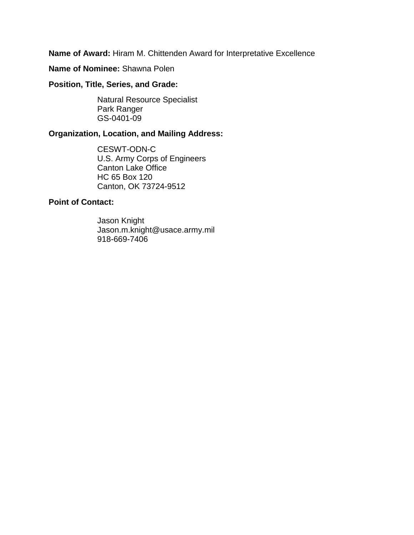**Name of Award:** Hiram M. Chittenden Award for Interpretative Excellence

**Name of Nominee:** Shawna Polen

**Position, Title, Series, and Grade:** 

Natural Resource Specialist Park Ranger GS-0401-09

## **Organization, Location, and Mailing Address:**

CESWT-ODN-C U.S. Army Corps of Engineers Canton Lake Office HC 65 Box 120 Canton, OK 73724-9512

## **Point of Contact:**

Jason Knight Jason.m.knight@usace.army.mil 918-669-7406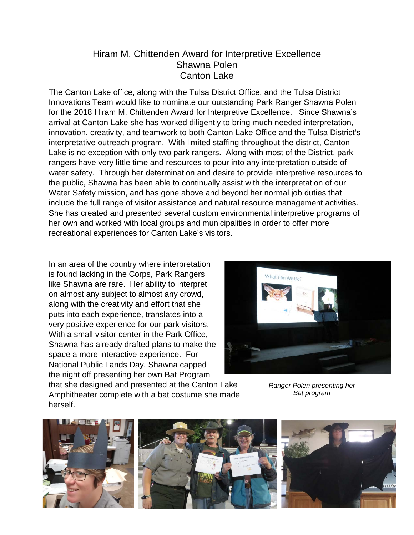## Hiram M. Chittenden Award for Interpretive Excellence Shawna Polen Canton Lake

The Canton Lake office, along with the Tulsa District Office, and the Tulsa District Innovations Team would like to nominate our outstanding Park Ranger Shawna Polen for the 2018 Hiram M. Chittenden Award for Interpretive Excellence. Since Shawna's arrival at Canton Lake she has worked diligently to bring much needed interpretation, innovation, creativity, and teamwork to both Canton Lake Office and the Tulsa District's interpretative outreach program. With limited staffing throughout the district, Canton Lake is no exception with only two park rangers. Along with most of the District, park rangers have very little time and resources to pour into any interpretation outside of water safety. Through her determination and desire to provide interpretive resources to the public, Shawna has been able to continually assist with the interpretation of our Water Safety mission, and has gone above and beyond her normal job duties that include the full range of visitor assistance and natural resource management activities. She has created and presented several custom environmental interpretive programs of her own and worked with local groups and municipalities in order to offer more recreational experiences for Canton Lake's visitors.

In an area of the country where interpretation is found lacking in the Corps, Park Rangers like Shawna are rare. Her ability to interpret on almost any subject to almost any crowd, along with the creativity and effort that she puts into each experience, translates into a very positive experience for our park visitors. With a small visitor center in the Park Office, Shawna has already drafted plans to make the space a more interactive experience. For National Public Lands Day, Shawna capped the night off presenting her own Bat Program that she designed and presented at the Canton Lake

Amphitheater complete with a bat costume she made

herself.



*Ranger Polen presenting her Bat program*

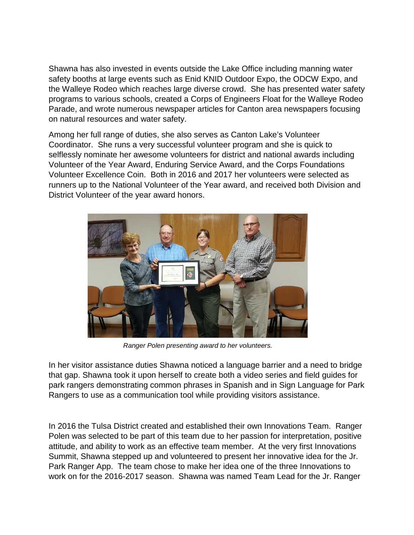Shawna has also invested in events outside the Lake Office including manning water safety booths at large events such as Enid KNID Outdoor Expo, the ODCW Expo, and the Walleye Rodeo which reaches large diverse crowd. She has presented water safety programs to various schools, created a Corps of Engineers Float for the Walleye Rodeo Parade, and wrote numerous newspaper articles for Canton area newspapers focusing on natural resources and water safety.

Among her full range of duties, she also serves as Canton Lake's Volunteer Coordinator. She runs a very successful volunteer program and she is quick to selflessly nominate her awesome volunteers for district and national awards including Volunteer of the Year Award, Enduring Service Award, and the Corps Foundations Volunteer Excellence Coin. Both in 2016 and 2017 her volunteers were selected as runners up to the National Volunteer of the Year award, and received both Division and District Volunteer of the year award honors.



*Ranger Polen presenting award to her volunteers.*

In her visitor assistance duties Shawna noticed a language barrier and a need to bridge that gap. Shawna took it upon herself to create both a video series and field guides for park rangers demonstrating common phrases in Spanish and in Sign Language for Park Rangers to use as a communication tool while providing visitors assistance.

In 2016 the Tulsa District created and established their own Innovations Team. Ranger Polen was selected to be part of this team due to her passion for interpretation, positive attitude, and ability to work as an effective team member. At the very first Innovations Summit, Shawna stepped up and volunteered to present her innovative idea for the Jr. Park Ranger App. The team chose to make her idea one of the three Innovations to work on for the 2016-2017 season. Shawna was named Team Lead for the Jr. Ranger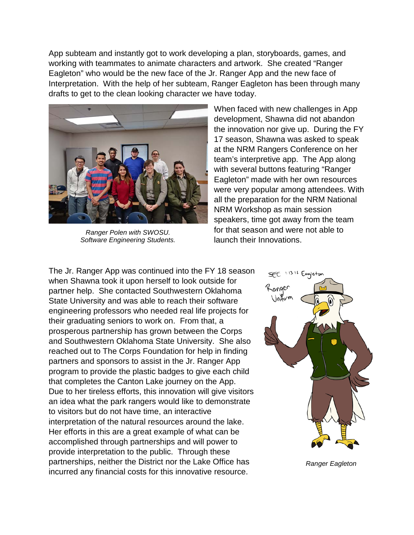App subteam and instantly got to work developing a plan, storyboards, games, and working with teammates to animate characters and artwork. She created "Ranger Eagleton" who would be the new face of the Jr. Ranger App and the new face of Interpretation. With the help of her subteam, Ranger Eagleton has been through many drafts to get to the clean looking character we have today.



*Ranger Polen with SWOSU. Software Engineering Students.*

When faced with new challenges in App development, Shawna did not abandon the innovation nor give up. During the FY 17 season, Shawna was asked to speak at the NRM Rangers Conference on her team's interpretive app. The App along with several buttons featuring "Ranger Eagleton" made with her own resources were very popular among attendees. With all the preparation for the NRM National NRM Workshop as main session speakers, time got away from the team for that season and were not able to launch their Innovations.

The Jr. Ranger App was continued into the FY 18 season when Shawna took it upon herself to look outside for partner help. She contacted Southwestern Oklahoma State University and was able to reach their software engineering professors who needed real life projects for their graduating seniors to work on. From that, a prosperous partnership has grown between the Corps and Southwestern Oklahoma State University. She also reached out to The Corps Foundation for help in finding partners and sponsors to assist in the Jr. Ranger App program to provide the plastic badges to give each child that completes the Canton Lake journey on the App. Due to her tireless efforts, this innovation will give visitors an idea what the park rangers would like to demonstrate to visitors but do not have time, an interactive interpretation of the natural resources around the lake. Her efforts in this are a great example of what can be accomplished through partnerships and will power to provide interpretation to the public. Through these partnerships, neither the District nor the Lake Office has incurred any financial costs for this innovative resource.



 *Ranger Eagleton*